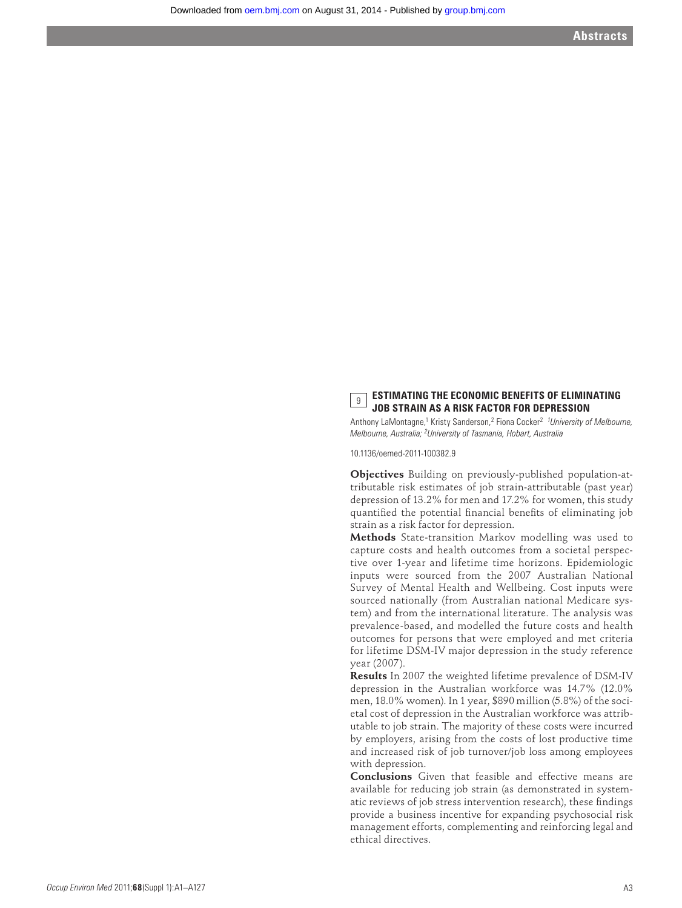## **ESTIMATING THE ECONOMIC BENEFITS OF ELIMINATING JOB STRAIN AS A RISK FACTOR FOR DEPRESSION**

Anthony LaMontagne,<sup>1</sup> Kristy Sanderson,<sup>2</sup> Fiona Cocker<sup>2</sup> <sup>1</sup>University of Melbourne, *Melbourne, Australia; 2 University of Tasmania, Hobart, Australia*

10.1136/oemed-2011-100382.9

**Objectives** Building on previously-published population-attributable risk estimates of job strain-attributable (past year) depression of 13.2% for men and 17.2% for women, this study quantified the potential financial benefits of eliminating job strain as a risk factor for depression.

**Methods** State-transition Markov modelling was used to capture costs and health outcomes from a societal perspective over 1-year and lifetime time horizons. Epidemiologic inputs were sourced from the 2007 Australian National Survey of Mental Health and Wellbeing. Cost inputs were sourced nationally (from Australian national Medicare system) and from the international literature. The analysis was prevalence-based, and modelled the future costs and health outcomes for persons that were employed and met criteria for lifetime DSM-IV major depression in the study reference year (2007).

**Results** In 2007 the weighted lifetime prevalence of DSM-IV depression in the Australian workforce was 14.7% (12.0% men, 18.0% women). In 1 year, \$890 million (5.8%) of the societal cost of depression in the Australian workforce was attributable to job strain. The majority of these costs were incurred by employers, arising from the costs of lost productive time and increased risk of job turnover/job loss among employees with depression.

**Conclusions** Given that feasible and effective means are available for reducing job strain (as demonstrated in systematic reviews of job stress intervention research), these findings provide a business incentive for expanding psychosocial risk management efforts, complementing and reinforcing legal and ethical directives.